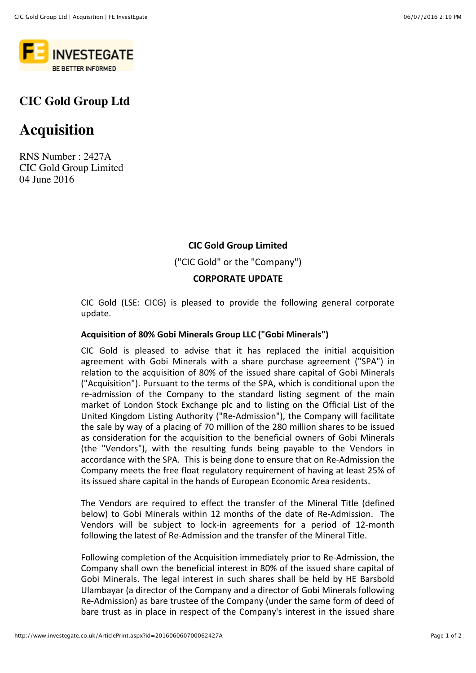

## **CIC Gold Group Ltd**

# **Acquisition**

RNS Number : 2427A CIC Gold Group Limited 04 June 2016

### **CIC Gold Group Limited**

("CIC Gold" or the "Company")

### **CORPORATE UPDATE**

CIC Gold (LSE: CICG) is pleased to provide the following general corporate update.

#### **Acquisition of 80% Gobi Minerals Group LLC ("Gobi Minerals")**

CIC Gold is pleased to advise that it has replaced the initial acquisition agreement with Gobi Minerals with a share purchase agreement ("SPA") in relation to the acquisition of 80% of the issued share capital of Gobi Minerals ("Acquisition"). Pursuant to the terms of the SPA, which is conditional upon the re-admission of the Company to the standard listing segment of the main market of London Stock Exchange plc and to listing on the Official List of the United Kingdom Listing Authority ("Re-Admission"), the Company will facilitate the sale by way of a placing of 70 million of the 280 million shares to be issued as consideration for the acquisition to the beneficial owners of Gobi Minerals (the "Vendors"), with the resulting funds being payable to the Vendors in accordance with the SPA. This is being done to ensure that on Re-Admission the Company meets the free float regulatory requirement of having at least 25% of its issued share capital in the hands of European Economic Area residents.

The Vendors are required to effect the transfer of the Mineral Title (defined below) to Gobi Minerals within 12 months of the date of Re-Admission. The Vendors will be subject to lock-in agreements for a period of 12-month following the latest of Re-Admission and the transfer of the Mineral Title.

Following completion of the Acquisition immediately prior to Re-Admission, the Company shall own the beneficial interest in 80% of the issued share capital of Gobi Minerals. The legal interest in such shares shall be held by HE Barsbold Ulambayar (a director of the Company and a director of Gobi Minerals following Re-Admission) as bare trustee of the Company (under the same form of deed of bare trust as in place in respect of the Company's interest in the issued share